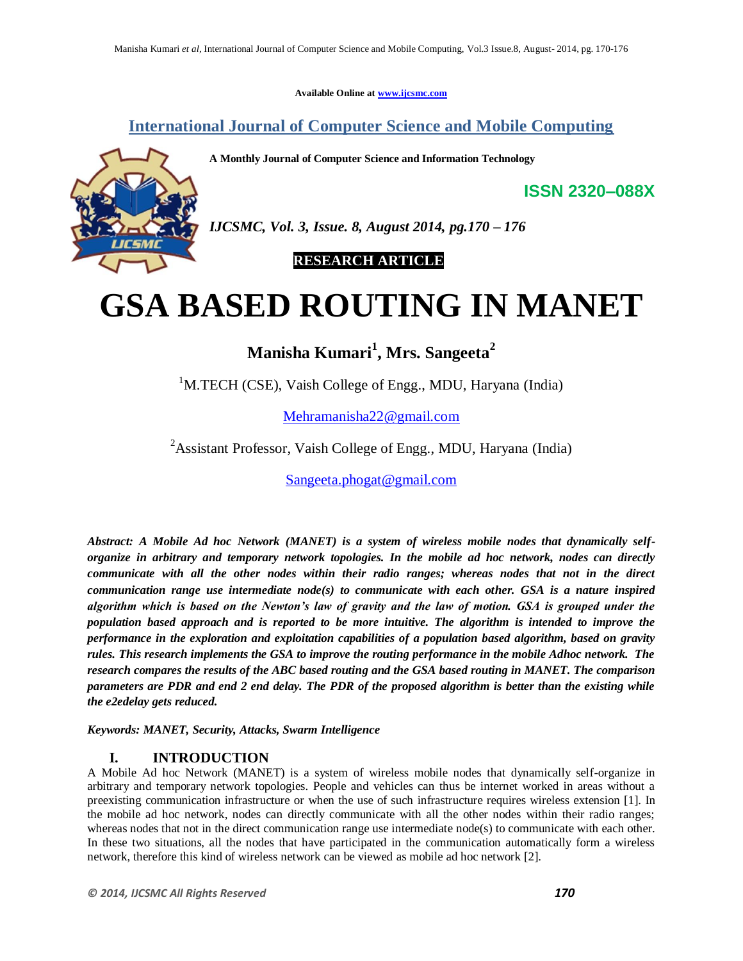**Available Online at www.ijcsmc.com**

**International Journal of Computer Science and Mobile Computing**

**A Monthly Journal of Computer Science and Information Technology**



*IJCSMC, Vol. 3, Issue. 8, August 2014, pg.170 – 176*

 **RESEARCH ARTICLE**

# **GSA BASED ROUTING IN MANET**

# **Manisha Kumari<sup>1</sup> , Mrs. Sangeeta<sup>2</sup>**

<sup>1</sup>M.TECH (CSE), Vaish College of Engg., MDU, Haryana (India)

Mehramanisha22@gmail.com

<sup>2</sup>Assistant Professor, Vaish College of Engg., MDU, Haryana (India)

Sangeeta.phogat@gmail.com

*Abstract: A Mobile Ad hoc Network (MANET) is a system of wireless mobile nodes that dynamically selforganize in arbitrary and temporary network topologies. In the mobile ad hoc network, nodes can directly communicate with all the other nodes within their radio ranges; whereas nodes that not in the direct communication range use intermediate node(s) to communicate with each other. GSA is a nature inspired algorithm which is based on the Newton's law of gravity and the law of motion. GSA is grouped under the population based approach and is reported to be more intuitive. The algorithm is intended to improve the performance in the exploration and exploitation capabilities of a population based algorithm, based on gravity rules. This research implements the GSA to improve the routing performance in the mobile Adhoc network. The research compares the results of the ABC based routing and the GSA based routing in MANET. The comparison parameters are PDR and end 2 end delay. The PDR of the proposed algorithm is better than the existing while the e2edelay gets reduced.*

*Keywords: MANET, Security, Attacks, Swarm Intelligence*

# **I. INTRODUCTION**

A Mobile Ad hoc Network (MANET) is a system of wireless mobile nodes that dynamically self-organize in arbitrary and temporary network topologies. People and vehicles can thus be internet worked in areas without a preexisting communication infrastructure or when the use of such infrastructure requires wireless extension [1]. In the mobile ad hoc network, nodes can directly communicate with all the other nodes within their radio ranges; whereas nodes that not in the direct communication range use intermediate node(s) to communicate with each other. In these two situations, all the nodes that have participated in the communication automatically form a wireless network, therefore this kind of wireless network can be viewed as mobile ad hoc network [2].

**ISSN 2320–088X**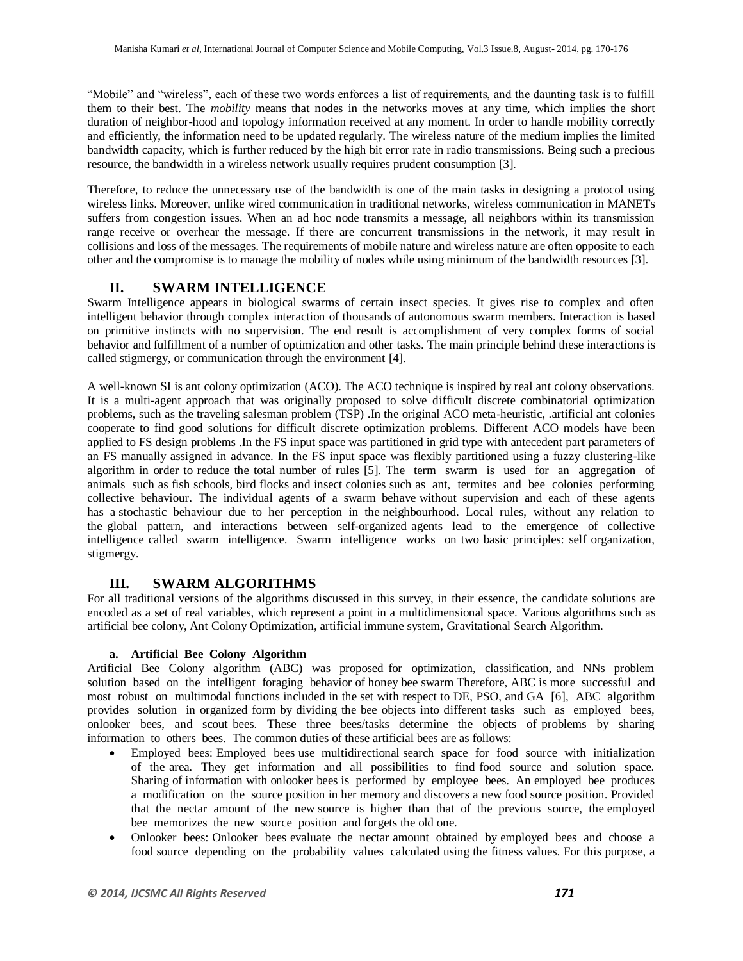"Mobile" and "wireless", each of these two words enforces a list of requirements, and the daunting task is to fulfill them to their best. The *mobility* means that nodes in the networks moves at any time, which implies the short duration of neighbor-hood and topology information received at any moment. In order to handle mobility correctly and efficiently, the information need to be updated regularly. The wireless nature of the medium implies the limited bandwidth capacity, which is further reduced by the high bit error rate in radio transmissions. Being such a precious resource, the bandwidth in a wireless network usually requires prudent consumption [3].

Therefore, to reduce the unnecessary use of the bandwidth is one of the main tasks in designing a protocol using wireless links. Moreover, unlike wired communication in traditional networks, wireless communication in MANETs suffers from congestion issues. When an ad hoc node transmits a message, all neighbors within its transmission range receive or overhear the message. If there are concurrent transmissions in the network, it may result in collisions and loss of the messages. The requirements of mobile nature and wireless nature are often opposite to each other and the compromise is to manage the mobility of nodes while using minimum of the bandwidth resources [3].

# **II. SWARM INTELLIGENCE**

Swarm Intelligence appears in biological swarms of certain insect species. It gives rise to complex and often intelligent behavior through complex interaction of thousands of autonomous swarm members. Interaction is based on primitive instincts with no supervision. The end result is accomplishment of very complex forms of social behavior and fulfillment of a number of optimization and other tasks. The main principle behind these interactions is called stigmergy, or communication through the environment [4].

A well-known SI is ant colony optimization (ACO). The ACO technique is inspired by real ant colony observations. It is a multi-agent approach that was originally proposed to solve difficult discrete combinatorial optimization problems, such as the traveling salesman problem (TSP) .In the original ACO meta-heuristic, .artificial ant colonies cooperate to find good solutions for difficult discrete optimization problems. Different ACO models have been applied to FS design problems .In the FS input space was partitioned in grid type with antecedent part parameters of an FS manually assigned in advance. In the FS input space was flexibly partitioned using a fuzzy clustering-like algorithm in order to reduce the total number of rules [5]. The term swarm is used for an aggregation of animals such as fish schools, bird flocks and insect colonies such as ant, termites and bee colonies performing collective behaviour. The individual agents of a swarm behave without supervision and each of these agents has a stochastic behaviour due to her perception in the neighbourhood. Local rules, without any relation to the global pattern, and interactions between self-organized agents lead to the emergence of collective intelligence called swarm intelligence. Swarm intelligence works on two basic principles: self organization, stigmergy.

# **III. SWARM ALGORITHMS**

For all traditional versions of the algorithms discussed in this survey, in their essence, the candidate solutions are encoded as a set of real variables, which represent a point in a multidimensional space. Various algorithms such as artificial bee colony, Ant Colony Optimization, artificial immune system, Gravitational Search Algorithm.

#### **a. Artificial Bee Colony Algorithm**

Artificial Bee Colony algorithm (ABC) was proposed for optimization, classification, and NNs problem solution based on the intelligent foraging behavior of honey bee swarm Therefore, ABC is more successful and most robust on multimodal functions included in the set with respect to DE, PSO, and GA [6], ABC algorithm provides solution in organized form by dividing the bee objects into different tasks such as employed bees, onlooker bees, and scout bees. These three bees/tasks determine the objects of problems by sharing information to others bees. The common duties of these artificial bees are as follows:

- Employed bees: Employed bees use multidirectional search space for food source with initialization of the area. They get information and all possibilities to find food source and solution space. Sharing of information with onlooker bees is performed by employee bees. An employed bee produces a modification on the source position in her memory and discovers a new food source position. Provided that the nectar amount of the new source is higher than that of the previous source, the employed bee memorizes the new source position and forgets the old one.
- Onlooker bees: Onlooker bees evaluate the nectar amount obtained by employed bees and choose a food source depending on the probability values calculated using the fitness values. For this purpose, a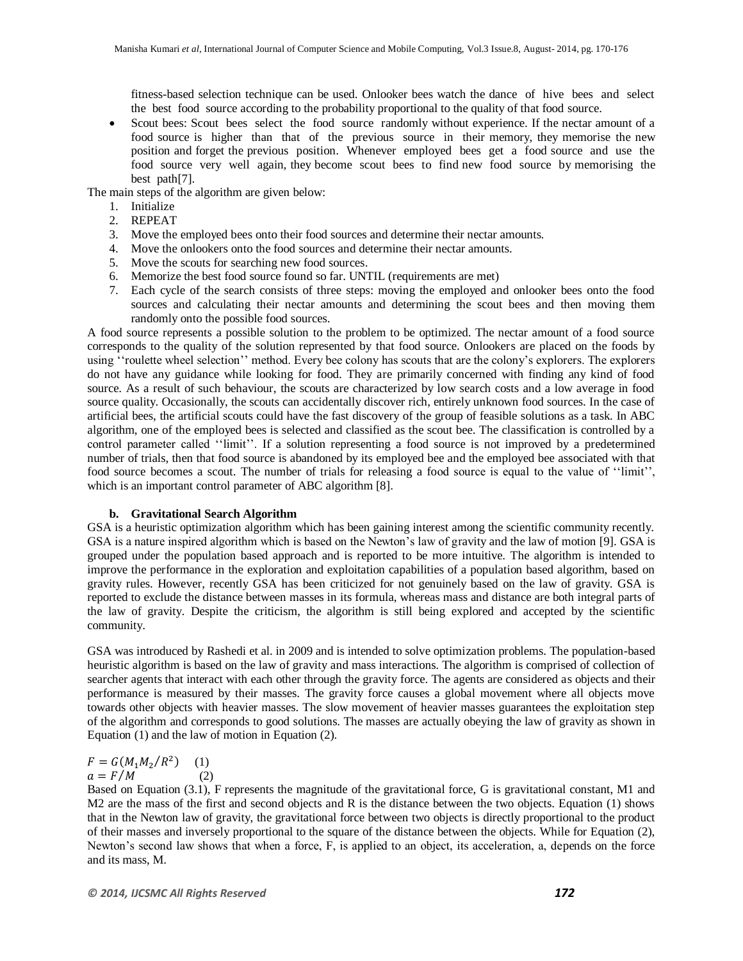fitness-based selection technique can be used. Onlooker bees watch the dance of hive bees and select the best food source according to the probability proportional to the quality of that food source.

 Scout bees: Scout bees select the food source randomly without experience. If the nectar amount of a food source is higher than that of the previous source in their memory, they memorise the new position and forget the previous position. Whenever employed bees get a food source and use the food source very well again, they become scout bees to find new food source by memorising the best path[7].

The main steps of the algorithm are given below:

- 1. Initialize
- 2. REPEAT
- 3. Move the employed bees onto their food sources and determine their nectar amounts.
- 4. Move the onlookers onto the food sources and determine their nectar amounts.
- 5. Move the scouts for searching new food sources.
- 6. Memorize the best food source found so far. UNTIL (requirements are met)
- 7. Each cycle of the search consists of three steps: moving the employed and onlooker bees onto the food sources and calculating their nectar amounts and determining the scout bees and then moving them randomly onto the possible food sources.

A food source represents a possible solution to the problem to be optimized. The nectar amount of a food source corresponds to the quality of the solution represented by that food source. Onlookers are placed on the foods by using ""roulette wheel selection"" method. Every bee colony has scouts that are the colony"s explorers. The explorers do not have any guidance while looking for food. They are primarily concerned with finding any kind of food source. As a result of such behaviour, the scouts are characterized by low search costs and a low average in food source quality. Occasionally, the scouts can accidentally discover rich, entirely unknown food sources. In the case of artificial bees, the artificial scouts could have the fast discovery of the group of feasible solutions as a task. In ABC algorithm, one of the employed bees is selected and classified as the scout bee. The classification is controlled by a control parameter called ""limit"". If a solution representing a food source is not improved by a predetermined number of trials, then that food source is abandoned by its employed bee and the employed bee associated with that food source becomes a scout. The number of trials for releasing a food source is equal to the value of ""limit"", which is an important control parameter of ABC algorithm [8].

#### **b. Gravitational Search Algorithm**

GSA is a heuristic optimization algorithm which has been gaining interest among the scientific community recently. GSA is a nature inspired algorithm which is based on the Newton"s law of gravity and the law of motion [9]. GSA is grouped under the population based approach and is reported to be more intuitive. The algorithm is intended to improve the performance in the exploration and exploitation capabilities of a population based algorithm, based on gravity rules. However, recently GSA has been criticized for not genuinely based on the law of gravity. GSA is reported to exclude the distance between masses in its formula, whereas mass and distance are both integral parts of the law of gravity. Despite the criticism, the algorithm is still being explored and accepted by the scientific community.

GSA was introduced by Rashedi et al. in 2009 and is intended to solve optimization problems. The population-based heuristic algorithm is based on the law of gravity and mass interactions. The algorithm is comprised of collection of searcher agents that interact with each other through the gravity force. The agents are considered as objects and their performance is measured by their masses. The gravity force causes a global movement where all objects move towards other objects with heavier masses. The slow movement of heavier masses guarantees the exploitation step of the algorithm and corresponds to good solutions. The masses are actually obeying the law of gravity as shown in Equation (1) and the law of motion in Equation (2).

$$
F = G(M_1 M_2 / R^2)
$$
 (1)  

$$
a = F/M
$$
 (2)

Based on Equation (3.1), F represents the magnitude of the gravitational force, G is gravitational constant, M1 and M2 are the mass of the first and second objects and R is the distance between the two objects. Equation (1) shows that in the Newton law of gravity, the gravitational force between two objects is directly proportional to the product of their masses and inversely proportional to the square of the distance between the objects. While for Equation (2), Newton"s second law shows that when a force, F, is applied to an object, its acceleration, a, depends on the force and its mass, M.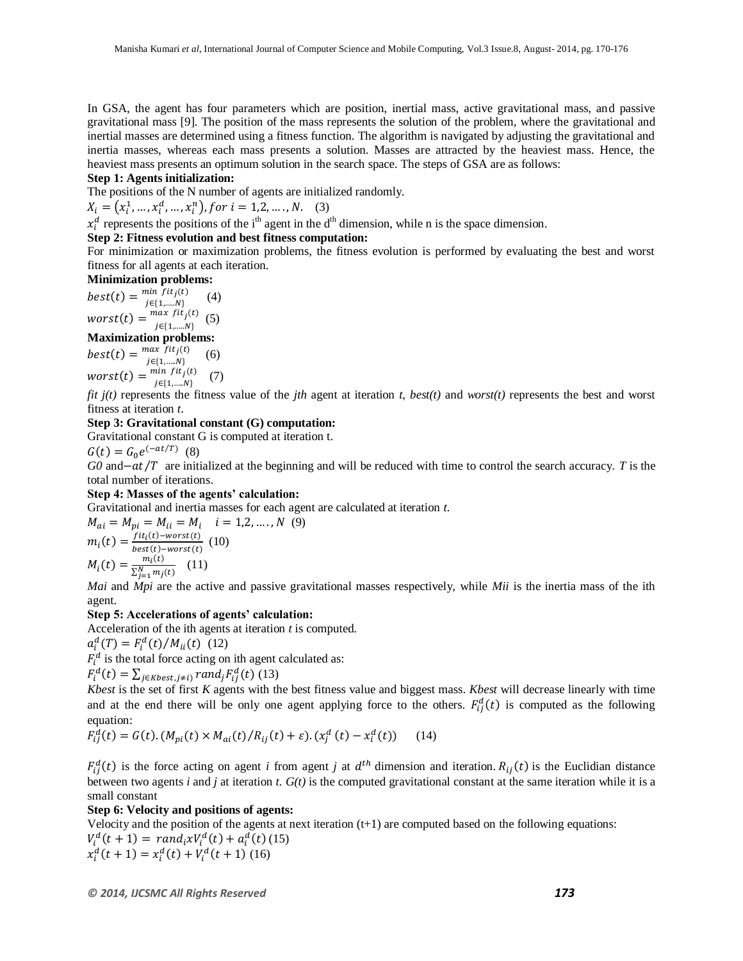In GSA, the agent has four parameters which are position, inertial mass, active gravitational mass, and passive gravitational mass [9]. The position of the mass represents the solution of the problem, where the gravitational and inertial masses are determined using a fitness function. The algorithm is navigated by adjusting the gravitational and inertia masses, whereas each mass presents a solution. Masses are attracted by the heaviest mass. Hence, the heaviest mass presents an optimum solution in the search space. The steps of GSA are as follows:

#### **Step 1: Agents initialization:**

The positions of the N number of agents are initialized randomly.

 $X_i = (x_i^1, ..., x_i^d, ..., x_i^n)$ , for  $i = 1, 2, ..., N$ . (3)

 $x_i^d$  represents the positions of the i<sup>th</sup> agent in the d<sup>th</sup> dimension, while n is the space dimension.

#### **Step 2: Fitness evolution and best fitness computation:**

For minimization or maximization problems, the fitness evolution is performed by evaluating the best and worst fitness for all agents at each iteration.

## **Minimization problems:**

 $best(t) = \frac{min \, fit_j(t)}{min}$  $j \in \{1, \dots N\}$  $(4)$  $worst(t) = \frac{max~fit_j(t)}{max}$  $j \in \{1, \dots N\}$ (5)

#### **Maximization problems:**

 $best(t) = \frac{max\_fit_j(t)}{max}$  $j \in \{1,....N\}$  (6)  $worst(t) = \frac{min~fit_j(t)}{left~N}$  $j \in \{1, \dots N\}$ (7)

*fit j(t)* represents the fitness value of the *jth* agent at iteration *t*, *best(t)* and *worst(t)* represents the best and worst fitness at iteration *t*.

#### **Step 3: Gravitational constant (G) computation:**

Gravitational constant G is computed at iteration t.

 $G(t) = G_0 e^{(-at/T)}$  (8)

 $G0$  and  $-at/T$  are initialized at the beginning and will be reduced with time to control the search accuracy. *T* is the total number of iterations.

#### **Step 4: Masses of the agents' calculation:**

Gravitational and inertia masses for each agent are calculated at iteration *t*.

$$
M_{ai} = M_{pi} = M_{ii} = M_i \quad i = 1, 2, ..., N \quad (9)
$$
  
\n
$$
m_i(t) = \frac{fit_i(t) - worst(t)}{best(t) - worst(t)} \quad (10)
$$
  
\n
$$
M_i(t) = \frac{m_i(t)}{\sum_{j=1}^{N} m_j(t)} \quad (11)
$$

*Mai* and *Mpi* are the active and passive gravitational masses respectively, while *Mii* is the inertia mass of the ith agent.

#### **Step 5: Accelerations of agents' calculation:**

Acceleration of the ith agents at iteration *t* is computed.

 $a_i^d(T) = F_i^d(t)/M_{ii}(t)$  (12)

 $F_i^d$  is the total force acting on ith agent calculated as:

$$
F_i^d(t) = \sum_{j \in Kbest, j \neq i} rand_j F_{ij}^d(t)
$$
 (13)

*Kbest* is the set of first *K* agents with the best fitness value and biggest mass. *Kbest* will decrease linearly with time and at the end there will be only one agent applying force to the others.  $F_{ii}^d(t)$  is computed as the following equation:

$$
F_{ij}^{d}(t) = G(t) \cdot (M_{pi}(t) \times M_{ai}(t) / R_{ij}(t) + \varepsilon) \cdot (x_{j}^{d}(t) - x_{i}^{d}(t)) \tag{14}
$$

 $F_{ii}^d(t)$  is the force acting on agent *i* from agent *j* at  $d^{th}$  dimension and iteration.  $R_{ii}(t)$  is the Euclidian distance between two agents *i* and *j* at iteration *t. G(t)* is the computed gravitational constant at the same iteration while it is a small constant

#### **Step 6: Velocity and positions of agents:**

Velocity and the position of the agents at next iteration  $(t+1)$  are computed based on the following equations:  $V_i^d(t+1) = rand_i x V_i^d(t) + a_i^d(t)$  (15)  $x_i^d(t+1) = x_i^d(t) + V_i^d(t+1)$  (16)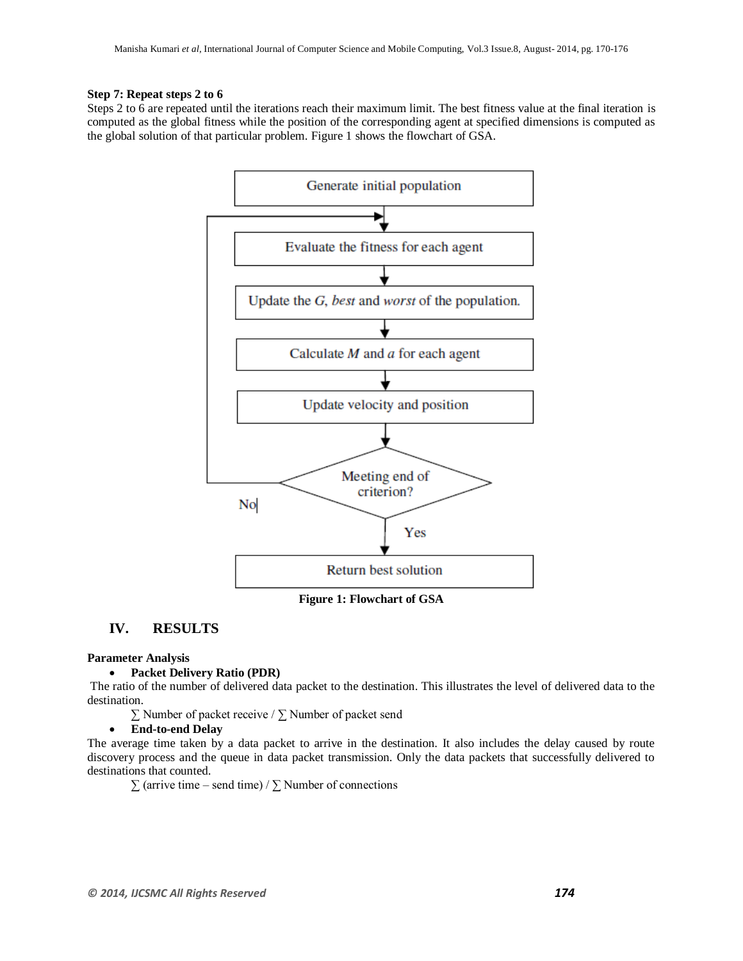#### **Step 7: Repeat steps 2 to 6**

Steps 2 to 6 are repeated until the iterations reach their maximum limit. The best fitness value at the final iteration is computed as the global fitness while the position of the corresponding agent at specified dimensions is computed as the global solution of that particular problem. Figure 1 shows the flowchart of GSA.



# **IV. RESULTS**

#### **Parameter Analysis**

#### **Packet Delivery Ratio (PDR)**

The ratio of the number of delivered data packet to the destination. This illustrates the level of delivered data to the destination.

∑ Number of packet receive / ∑ Number of packet send

#### **End-to-end Delay**

The average time taken by a data packet to arrive in the destination. It also includes the delay caused by route discovery process and the queue in data packet transmission. Only the data packets that successfully delivered to destinations that counted.

 $\sum$  (arrive time – send time) /  $\sum$  Number of connections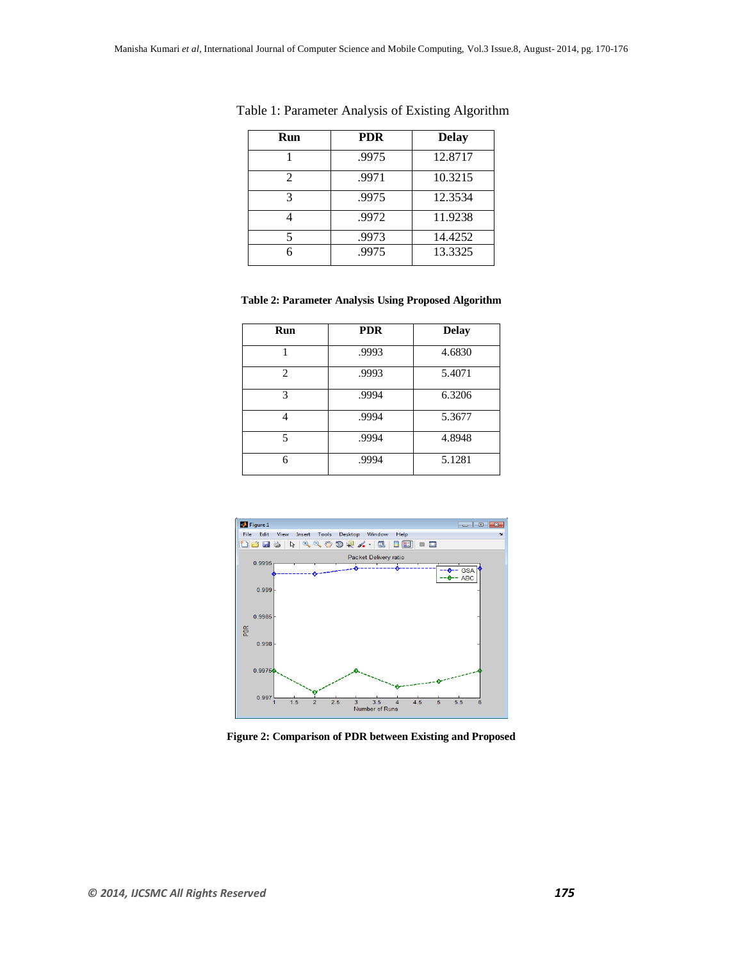| Run            | <b>PDR</b> | <b>Delay</b> |
|----------------|------------|--------------|
|                | .9975      | 12.8717      |
| $\mathfrak{D}$ | .9971      | 10.3215      |
| 3              | .9975      | 12.3534      |
|                | .9972      | 11.9238      |
|                | .9973      | 14.4252      |
|                | .9975      | 13.3325      |

Table 1: Parameter Analysis of Existing Algorithm

#### **Table 2: Parameter Analysis Using Proposed Algorithm**

| Run            | <b>PDR</b> | <b>Delay</b> |
|----------------|------------|--------------|
|                | .9993      | 4.6830       |
| $\mathfrak{D}$ | .9993      | 5.4071       |
| 3              | .9994      | 6.3206       |
|                | .9994      | 5.3677       |
| 5              | .9994      | 4.8948       |
| 6              | .9994      | 5.1281       |



**Figure 2: Comparison of PDR between Existing and Proposed**